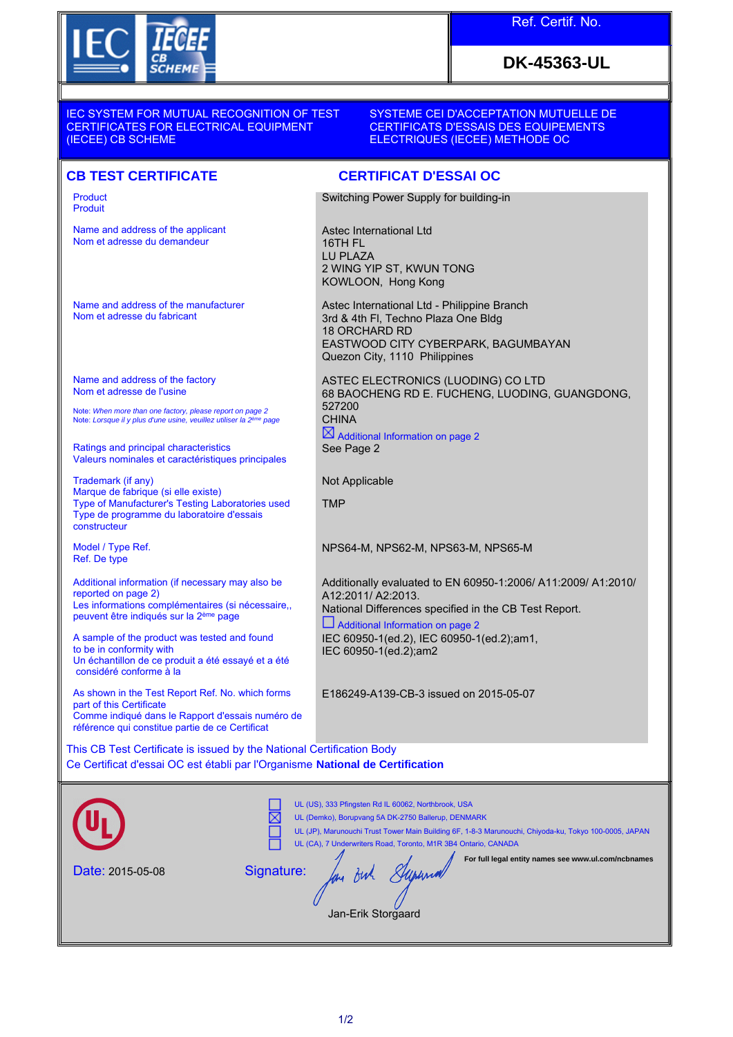

## Ref. Certif. No.

# **DK-45363-UL**

IEC SYSTEM FOR MUTUAL RECOGNITION OF TEST CERTIFICATES FOR ELECTRICAL EQUIPMENT (IECEE) CB SCHEME

#### SYSTEME CEI D'ACCEPTATION MUTUELLE DE CERTIFICATS D'ESSAIS DES EQUIPEMENTS ELECTRIQUES (IECEE) METHODE OC

### **CB TEST CERTIFICATE CERTIFICAT D'ESSAI OC**

Product Produit

Name and address of the applicant Nom et adresse du demandeur

Name and address of the manufacturer Nom et adresse du fabricant

Name and address of the factory Nom et adresse de l'usine

Note: *When more than one factory, please report on page 2*<br>Note: *Lorsque il y plus d'une usine, veuillez utiliser la 2<sup>ème</sup> page* 

Ratings and principal characteristics Valeurs nominales et caractéristiques principales

Trademark (if any) Marque de fabrique (si elle existe) Type of Manufacturer's Testing Laboratories used Type de programme du laboratoire d'essais constructeur

Model / Type Ref. Ref. De type

Additional information (if necessary may also be reported on page 2) Les informations complémentaires (si nécessaire, peuvent être indiqués sur la 2ème page

A sample of the product was tested and found to be in conformity with Un échantillon de ce produit a été essayé et a été considéré conforme à la

As shown in the Test Report Ref. No. which forms part of this Certificate Comme indiqué dans le Rapport d'essais numéro de référence qui constitue partie de ce Certificat

Switching Power Supply for building-in

Astec International Ltd 16TH FL LU PLAZA 2 WING YIP ST, KWUN TONG KOWLOON, Hong Kong

Astec International Ltd - Philippine Branch 3rd & 4th Fl, Techno Plaza One Bldg 18 ORCHARD RD EASTWOOD CITY CYBERPARK, BAGUMBAYAN Quezon City, 1110 Philippines

ASTEC ELECTRONICS (LUODING) CO LTD 68 BAOCHENG RD E. FUCHENG, LUODING, GUANGDONG, 527200 **CHINA** 

 $\boxtimes$  Additional Information on page 2 See Page 2

Not Applicable

TMP

NPS64-M, NPS62-M, NPS63-M, NPS65-M

Additionally evaluated to EN 60950-1:2006/ A11:2009/ A1:2010/ A12:2011/ A2:2013.

National Differences specified in the CB Test Report.

 Additional Information on page 2 IEC 60950-1(ed.2), IEC 60950-1(ed.2);am1, IEC 60950-1(ed.2);am2

E186249-A139-CB-3 issued on 2015-05-07

This CB Test Certificate is issued by the National Certification Body Ce Certificat d'essai OC est établi par l'Organisme **National de Certification**

|                  | UL (US), 333 Pfingsten Rd IL 60062, Northbrook, USA<br>UL (Demko), Borupvang 5A DK-2750 Ballerup, DENMARK<br>UL (JP), Marunouchi Trust Tower Main Building 6F, 1-8-3 Marunouchi, Chiyoda-ku, Tokyo 100-0005, JAPAN<br>UL (CA), 7 Underwriters Road, Toronto, M1R 3B4 Ontario, CANADA<br>For full legal entity names see www.ul.com/ncbnames |
|------------------|---------------------------------------------------------------------------------------------------------------------------------------------------------------------------------------------------------------------------------------------------------------------------------------------------------------------------------------------|
| Date: 2015-05-08 | Signature:<br>ow<br>Jan-Erik Storgaard                                                                                                                                                                                                                                                                                                      |